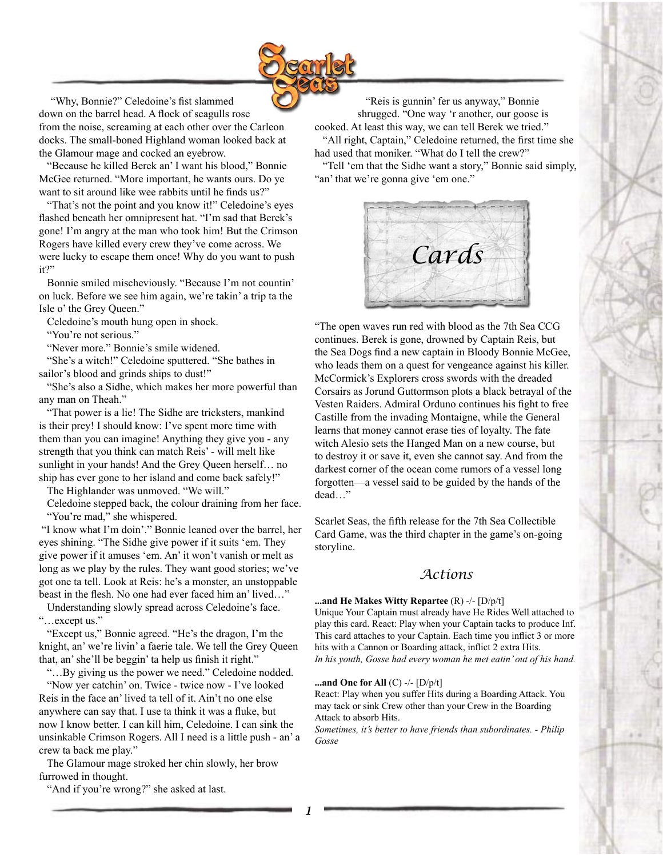

"Why, Bonnie?" Celedoine's fist slammed down on the barrel head. A flock of seagulls rose from the noise, screaming at each other over the Carleon docks. The small-boned Highland woman looked back at the Glamour mage and cocked an eyebrow.

 "Because he killed Berek an' I want his blood," Bonnie McGee returned. "More important, he wants ours. Do ye want to sit around like wee rabbits until he finds us?"

 "That's not the point and you know it!" Celedoine's eyes flashed beneath her omnipresent hat. "I'm sad that Berek's gone! I'm angry at the man who took him! But the Crimson Rogers have killed every crew they've come across. We were lucky to escape them once! Why do you want to push it?"

 Bonnie smiled mischeviously. "Because I'm not countin' on luck. Before we see him again, we're takin' a trip ta the Isle o' the Grey Queen."

Celedoine's mouth hung open in shock.

"You're not serious."

"Never more." Bonnie's smile widened.

 "She's a witch!" Celedoine sputtered. "She bathes in sailor's blood and grinds ships to dust!"

 "She's also a Sidhe, which makes her more powerful than any man on Theah."

 "That power is a lie! The Sidhe are tricksters, mankind is their prey! I should know: I've spent more time with them than you can imagine! Anything they give you - any strength that you think can match Reis' - will melt like sunlight in your hands! And the Grey Queen herself… no ship has ever gone to her island and come back safely!"

The Highlander was unmoved. "We will."

 Celedoine stepped back, the colour draining from her face. "You're mad," she whispered.

 "I know what I'm doin'." Bonnie leaned over the barrel, her eyes shining. "The Sidhe give power if it suits 'em. They give power if it amuses 'em. An' it won't vanish or melt as long as we play by the rules. They want good stories; we've got one ta tell. Look at Reis: he's a monster, an unstoppable beast in the flesh. No one had ever faced him an' lived…"

 Understanding slowly spread across Celedoine's face. "…except us."

 "Except us," Bonnie agreed. "He's the dragon, I'm the knight, an' we're livin' a faerie tale. We tell the Grey Queen that, an' she'll be beggin' ta help us finish it right."

 "…By giving us the power we need." Celedoine nodded. "Now yer catchin' on. Twice - twice now - I've looked

Reis in the face an' lived ta tell of it. Ain't no one else anywhere can say that. I use ta think it was a fluke, but now I know better. I can kill him, Celedoine. I can sink the unsinkable Crimson Rogers. All I need is a little push - an' a crew ta back me play."

 The Glamour mage stroked her chin slowly, her brow furrowed in thought.

"And if you're wrong?" she asked at last.

 "Reis is gunnin' fer us anyway," Bonnie shrugged. "One way 'r another, our goose is cooked. At least this way, we can tell Berek we tried." "All right, Captain," Celedoine returned, the first time she had used that moniker. "What do I tell the crew?"

 "Tell 'em that the Sidhe want a story," Bonnie said simply, "an' that we're gonna give 'em one."



"The open waves run red with blood as the 7th Sea CCG continues. Berek is gone, drowned by Captain Reis, but the Sea Dogs find a new captain in Bloody Bonnie McGee, who leads them on a quest for vengeance against his killer. McCormick's Explorers cross swords with the dreaded Corsairs as Jorund Guttormson plots a black betrayal of the Vesten Raiders. Admiral Orduno continues his fight to free Castille from the invading Montaigne, while the General learns that money cannot erase ties of loyalty. The fate witch Alesio sets the Hanged Man on a new course, but to destroy it or save it, even she cannot say. And from the darkest corner of the ocean come rumors of a vessel long forgotten—a vessel said to be guided by the hands of the dead…"

Scarlet Seas, the fifth release for the 7th Sea Collectible Card Game, was the third chapter in the game's on-going storyline.

# *Actions*

## **...and He Makes Witty Repartee** (R) -/- [D/p/t]

Unique Your Captain must already have He Rides Well attached to play this card. React: Play when your Captain tacks to produce Inf. This card attaches to your Captain. Each time you inflict 3 or more hits with a Cannon or Boarding attack, inflict 2 extra Hits. *In his youth, Gosse had every woman he met eatin' out of his hand.*

#### **...and One for All** (C) -/- [D/p/t]

React: Play when you suffer Hits during a Boarding Attack. You may tack or sink Crew other than your Crew in the Boarding Attack to absorb Hits.

*Sometimes, it's better to have friends than subordinates. - Philip Gosse*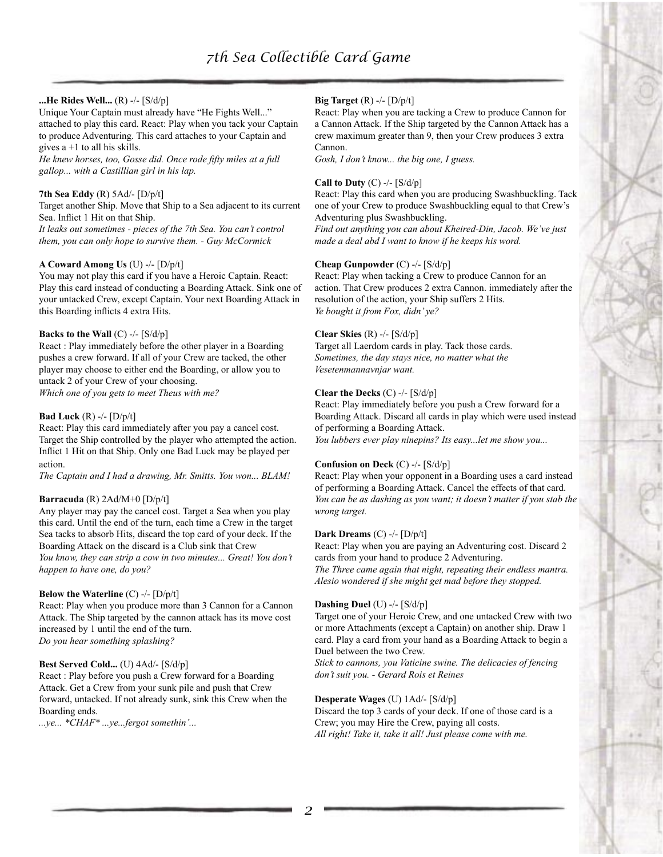# **...He Rides Well...** (R) -/- [S/d/p]

Unique Your Captain must already have "He Fights Well..." attached to play this card. React: Play when you tack your Captain to produce Adventuring. This card attaches to your Captain and gives  $a + 1$  to all his skills.

*He knew horses, too, Gosse did. Once rode fifty miles at a full gallop... with a Castillian girl in his lap.*

# **7th Sea Eddy** (R) 5Ad/- [D/p/t]

Target another Ship. Move that Ship to a Sea adjacent to its current Sea. Inflict 1 Hit on that Ship. *It leaks out sometimes - pieces of the 7th Sea. You can't control them, you can only hope to survive them. - Guy McCormick*

# **A Coward Among Us** (U) -/- [D/p/t]

You may not play this card if you have a Heroic Captain. React: Play this card instead of conducting a Boarding Attack. Sink one of your untacked Crew, except Captain. Your next Boarding Attack in this Boarding inflicts 4 extra Hits.

# **Backs to the Wall** (C)  $-/-$  [S/d/p]

React : Play immediately before the other player in a Boarding pushes a crew forward. If all of your Crew are tacked, the other player may choose to either end the Boarding, or allow you to untack 2 of your Crew of your choosing. *Which one of you gets to meet Theus with me?*

# **Bad Luck** (R) -/- [D/p/t]

React: Play this card immediately after you pay a cancel cost. Target the Ship controlled by the player who attempted the action. Inflict 1 Hit on that Ship. Only one Bad Luck may be played per action.

*The Captain and I had a drawing, Mr. Smitts. You won... BLAM!*

# **Barracuda** (R) 2Ad/M+0 [D/p/t]

Any player may pay the cancel cost. Target a Sea when you play this card. Until the end of the turn, each time a Crew in the target Sea tacks to absorb Hits, discard the top card of your deck. If the Boarding Attack on the discard is a Club sink that Crew *You know, they can strip a cow in two minutes... Great! You don't* 

*happen to have one, do you?*

# **Below the Waterline** (C) -/- [D/p/t]

React: Play when you produce more than 3 Cannon for a Cannon Attack. The Ship targeted by the cannon attack has its move cost increased by 1 until the end of the turn. *Do you hear something splashing?*

# **Best Served Cold...** (U) 4Ad/- [S/d/p]

React : Play before you push a Crew forward for a Boarding Attack. Get a Crew from your sunk pile and push that Crew forward, untacked. If not already sunk, sink this Crew when the Boarding ends.

*...ye... \*CHAF\* ...ye...fergot somethin'...*

# **Big Target** (R) -/- [D/p/t]

React: Play when you are tacking a Crew to produce Cannon for a Cannon Attack. If the Ship targeted by the Cannon Attack has a crew maximum greater than 9, then your Crew produces 3 extra Cannon.

*Gosh, I don't know... the big one, I guess.*

## **Call to Duty** (C) -/- [S/d/p]

React: Play this card when you are producing Swashbuckling. Tack one of your Crew to produce Swashbuckling equal to that Crew's Adventuring plus Swashbuckling. *Find out anything you can about Kheired-Din, Jacob. We've just made a deal abd I want to know if he keeps his word.*

# **Cheap Gunpowder** (C) -/- [S/d/p]

React: Play when tacking a Crew to produce Cannon for an action. That Crew produces 2 extra Cannon. immediately after the resolution of the action, your Ship suffers 2 Hits. *Ye bought it from Fox, didn' ye?*

# **Clear Skies** (R) -/- [S/d/p]

Target all Laerdom cards in play. Tack those cards. *Sometimes, the day stays nice, no matter what the Vesetenmannavnjar want.*

# **Clear the Decks** (C) -/- [S/d/p]

React: Play immediately before you push a Crew forward for a Boarding Attack. Discard all cards in play which were used instead of performing a Boarding Attack.

*You lubbers ever play ninepins? Its easy...let me show you...*

# **Confusion on Deck** (C) -/- [S/d/p]

React: Play when your opponent in a Boarding uses a card instead of performing a Boarding Attack. Cancel the effects of that card. *You can be as dashing as you want; it doesn't matter if you stab the wrong target.*

# **Dark Dreams** (C) -/- [D/p/t]

React: Play when you are paying an Adventuring cost. Discard 2 cards from your hand to produce 2 Adventuring.

*The Three came again that night, repeating their endless mantra. Alesio wondered if she might get mad before they stopped.*

# **Dashing Duel** (U) -/- [S/d/p]

Target one of your Heroic Crew, and one untacked Crew with two or more Attachments (except a Captain) on another ship. Draw 1 card. Play a card from your hand as a Boarding Attack to begin a Duel between the two Crew.

*Stick to cannons, you Vaticine swine. The delicacies of fencing don't suit you. - Gerard Rois et Reines*

# **Desperate Wages** (U) 1Ad/- [S/d/p]

Discard the top 3 cards of your deck. If one of those card is a Crew; you may Hire the Crew, paying all costs. *All right! Take it, take it all! Just please come with me.*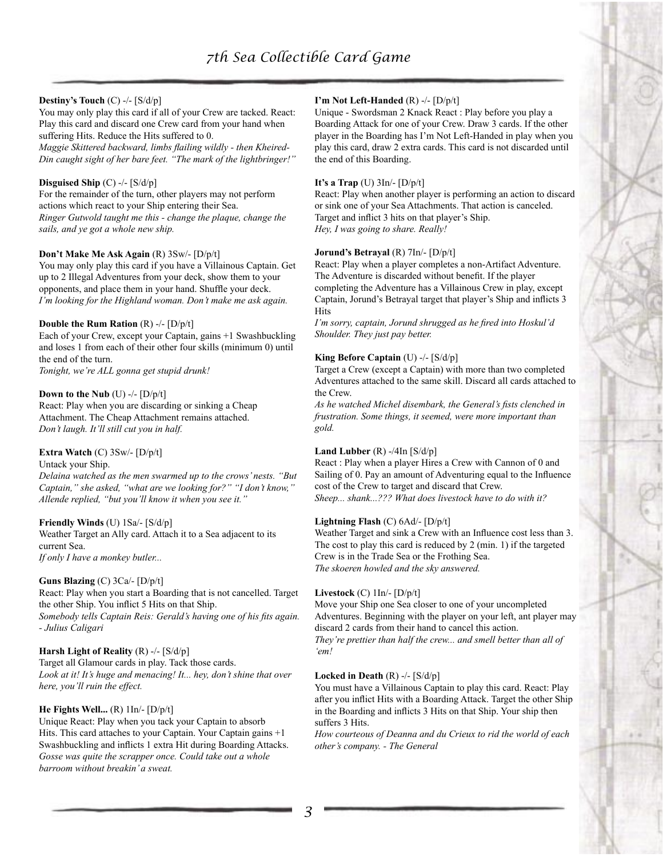# **Destiny's Touch** (C) -/- [S/d/p]

You may only play this card if all of your Crew are tacked. React: Play this card and discard one Crew card from your hand when suffering Hits. Reduce the Hits suffered to 0. *Maggie Skittered backward, limbs flailing wildly - then Kheired-Din caught sight of her bare feet. "The mark of the lightbringer!"*

# **Disguised Ship** (C) -/- [S/d/p]

For the remainder of the turn, other players may not perform actions which react to your Ship entering their Sea. *Ringer Gutwold taught me this - change the plaque, change the sails, and ye got a whole new ship.*

# **Don't Make Me Ask Again** (R) 3Sw/- [D/p/t]

You may only play this card if you have a Villainous Captain. Get up to 2 Illegal Adventures from your deck, show them to your opponents, and place them in your hand. Shuffle your deck. *I'm looking for the Highland woman. Don't make me ask again.*

# **Double the Rum Ration** (R) -/- [D/p/t]

Each of your Crew, except your Captain, gains +1 Swashbuckling and loses 1 from each of their other four skills (minimum 0) until the end of the turn.

*Tonight, we're ALL gonna get stupid drunk!*

# **Down to the Nub** (U)  $-/-$  [D/p/t]

React: Play when you are discarding or sinking a Cheap Attachment. The Cheap Attachment remains attached. *Don't laugh. It'll still cut you in half.*

# **Extra Watch** (C) 3Sw/- [D/p/t]

Untack your Ship.

*Delaina watched as the men swarmed up to the crows' nests. "But Captain," she asked, "what are we looking for?" "I don't know," Allende replied, "but you'll know it when you see it."*

# **Friendly Winds** (U) 1Sa/- [S/d/p]

Weather Target an Ally card. Attach it to a Sea adjacent to its current Sea. *If only I have a monkey butler...*

# **Guns Blazing** (C) 3Ca/- [D/p/t]

React: Play when you start a Boarding that is not cancelled. Target the other Ship. You inflict 5 Hits on that Ship. *Somebody tells Captain Reis: Gerald's having one of his fits again. - Julius Caligari*

# **Harsh Light of Reality** (R) -/- [S/d/p]

Target all Glamour cards in play. Tack those cards. *Look at it! It's huge and menacing! It... hey, don't shine that over here, you'll ruin the effect.*

# **He Fights Well...** (R) 1In/- [D/p/t]

Unique React: Play when you tack your Captain to absorb Hits. This card attaches to your Captain. Your Captain gains +1 Swashbuckling and inflicts 1 extra Hit during Boarding Attacks. *Gosse was quite the scrapper once. Could take out a whole barroom without breakin' a sweat.*

# **I'm Not Left-Handed** (R) -/- [D/p/t]

Unique - Swordsman 2 Knack React : Play before you play a Boarding Attack for one of your Crew. Draw 3 cards. If the other player in the Boarding has I'm Not Left-Handed in play when you play this card, draw 2 extra cards. This card is not discarded until the end of this Boarding.

# **It's a Trap** (U) 3In/- [D/p/t]

React: Play when another player is performing an action to discard or sink one of your Sea Attachments. That action is canceled. Target and inflict 3 hits on that player's Ship. *Hey, I was going to share. Really!*

# **Jorund's Betrayal** (R) 7In/- [D/p/t]

React: Play when a player completes a non-Artifact Adventure. The Adventure is discarded without benefit. If the player completing the Adventure has a Villainous Crew in play, except Captain, Jorund's Betrayal target that player's Ship and inflicts 3 Hits

*I'm sorry, captain, Jorund shrugged as he fired into Hoskul'd Shoulder. They just pay better.*

# **King Before Captain** (U) -/- [S/d/p]

Target a Crew (except a Captain) with more than two completed Adventures attached to the same skill. Discard all cards attached to the Crew.

*As he watched Michel disembark, the General's fists clenched in frustration. Some things, it seemed, were more important than gold.*

# **Land Lubber** (R) -/4In [S/d/p]

React : Play when a player Hires a Crew with Cannon of 0 and Sailing of 0. Pay an amount of Adventuring equal to the Influence cost of the Crew to target and discard that Crew. *Sheep... shank...??? What does livestock have to do with it?*

# **Lightning Flash** (C) 6Ad/- [D/p/t]

Weather Target and sink a Crew with an Influence cost less than 3. The cost to play this card is reduced by 2 (min. 1) if the targeted Crew is in the Trade Sea or the Frothing Sea. *The skoeren howled and the sky answered.*

# **Livestock** (C) 1In/- [D/p/t]

Move your Ship one Sea closer to one of your uncompleted Adventures. Beginning with the player on your left, ant player may discard 2 cards from their hand to cancel this action. *They're prettier than half the crew... and smell better than all of 'em!*

# **Locked in Death** (R) -/- [S/d/p]

You must have a Villainous Captain to play this card. React: Play after you inflict Hits with a Boarding Attack. Target the other Ship in the Boarding and inflicts 3 Hits on that Ship. Your ship then suffers 3 Hits.

*How courteous of Deanna and du Crieux to rid the world of each other's company. - The General*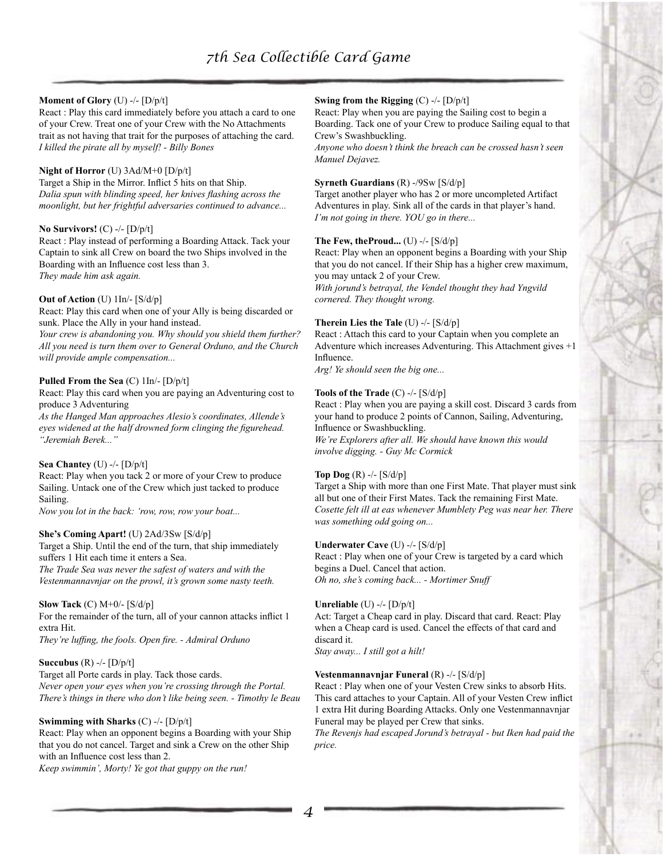# **Moment of Glory** (U) -/- [D/p/t]

React : Play this card immediately before you attach a card to one of your Crew. Treat one of your Crew with the No Attachments trait as not having that trait for the purposes of attaching the card. *I killed the pirate all by myself! - Billy Bones*

# **Night of Horror** (U) 3Ad/M+0 [D/p/t]

Target a Ship in the Mirror. Inflict 5 hits on that Ship. *Dalia spun with blinding speed, her knives flashing across the moonlight, but her frightful adversaries continued to advance...*

# **No Survivors!** (C) -/- [D/p/t]

React : Play instead of performing a Boarding Attack. Tack your Captain to sink all Crew on board the two Ships involved in the Boarding with an Influence cost less than 3. *They made him ask again.*

# **Out of Action** (U) 1In/- [S/d/p]

React: Play this card when one of your Ally is being discarded or sunk. Place the Ally in your hand instead.

*Your crew is abandoning you. Why should you shield them further? All you need is turn them over to General Orduno, and the Church will provide ample compensation...* 

# **Pulled From the Sea** (C) 1In/- [D/p/t]

React: Play this card when you are paying an Adventuring cost to produce 3 Adventuring

*As the Hanged Man approaches Alesio's coordinates, Allende's eyes widened at the half drowned form clinging the figurehead. "Jeremiah Berek..."*

# **Sea Chantey** (U) -/- [D/p/t]

React: Play when you tack 2 or more of your Crew to produce Sailing. Untack one of the Crew which just tacked to produce Sailing.

*Now you lot in the back: 'row, row, row your boat...*

# **She's Coming Apart!** (U) 2Ad/3Sw [S/d/p]

Target a Ship. Until the end of the turn, that ship immediately suffers 1 Hit each time it enters a Sea. *The Trade Sea was never the safest of waters and with the Vestenmannavnjar on the prowl, it's grown some nasty teeth.*

# **Slow Tack** (C) M+0/- [S/d/p]

For the remainder of the turn, all of your cannon attacks inflict 1 extra Hit.

*They're luffing, the fools. Open fire. - Admiral Orduno*

# **Succubus** (R) -/- [D/p/t]

Target all Porte cards in play. Tack those cards. *Never open your eyes when you're crossing through the Portal. There's things in there who don't like being seen. - Timothy le Beau*

# **Swimming with Sharks** (C) -/- [D/p/t]

React: Play when an opponent begins a Boarding with your Ship that you do not cancel. Target and sink a Crew on the other Ship with an Influence cost less than 2.

*Keep swimmin', Morty! Ye got that guppy on the run!*

# **Swing from the Rigging** (C) -/- [D/p/t]

React: Play when you are paying the Sailing cost to begin a Boarding. Tack one of your Crew to produce Sailing equal to that Crew's Swashbuckling.

*Anyone who doesn't think the breach can be crossed hasn't seen Manuel Dejavez.*

# **Syrneth Guardians** (R) -/9Sw [S/d/p]

Target another player who has 2 or more uncompleted Artifact Adventures in play. Sink all of the cards in that player's hand. *I'm not going in there. YOU go in there...*

# **The Few, theProud...** (U) -/- [S/d/p]

React: Play when an opponent begins a Boarding with your Ship that you do not cancel. If their Ship has a higher crew maximum, you may untack 2 of your Crew.

*With jorund's betrayal, the Vendel thought they had Yngvild cornered. They thought wrong.*

# **Therein Lies the Tale** (U) -/- [S/d/p]

React : Attach this card to your Captain when you complete an Adventure which increases Adventuring. This Attachment gives +1 Influence.

*Arg! Ye should seen the big one...*

# **Tools of the Trade** (C) -/- [S/d/p]

React : Play when you are paying a skill cost. Discard 3 cards from your hand to produce 2 points of Cannon, Sailing, Adventuring, Influence or Swashbuckling.

*We're Explorers after all. We should have known this would involve digging. - Guy Mc Cormick*

# **Top Dog** (R) -/- [S/d/p]

Target a Ship with more than one First Mate. That player must sink all but one of their First Mates. Tack the remaining First Mate. *Cosette felt ill at eas whenever Mumblety Peg was near her. There was something odd going on...*

# **Underwater Cave** (U) -/- [S/d/p]

React : Play when one of your Crew is targeted by a card which begins a Duel. Cancel that action. *Oh no, she's coming back... - Mortimer Snuff*

# **Unreliable** (U) -/- [D/p/t]

Act: Target a Cheap card in play. Discard that card. React: Play when a Cheap card is used. Cancel the effects of that card and discard it.

*Stay away... I still got a hilt!*

# **Vestenmannavnjar Funeral** (R) -/- [S/d/p]

React : Play when one of your Vesten Crew sinks to absorb Hits. This card attaches to your Captain. All of your Vesten Crew inflict 1 extra Hit during Boarding Attacks. Only one Vestenmannavnjar Funeral may be played per Crew that sinks.

*The Revenjs had escaped Jorund's betrayal - but Iken had paid the price.*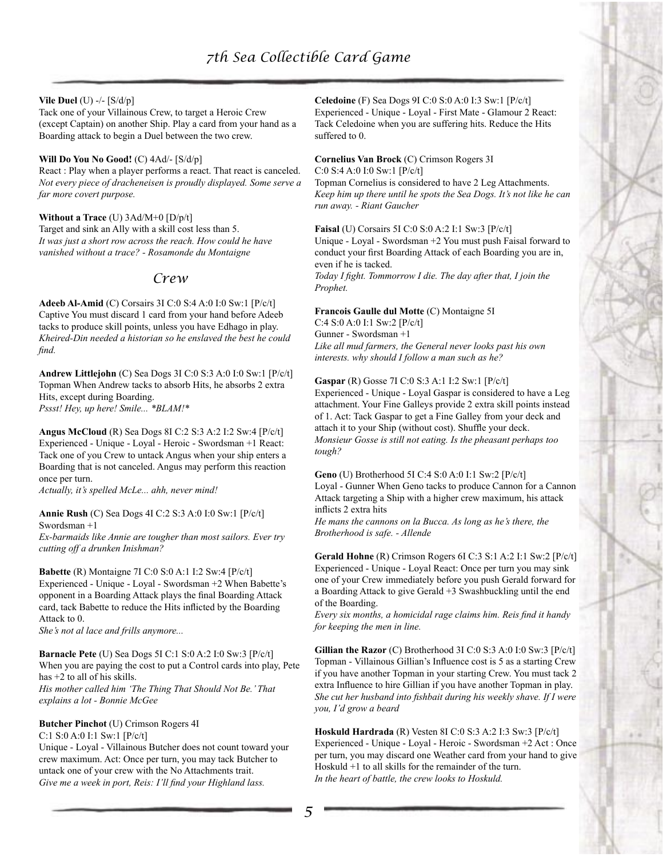# **Vile Duel** (U) -/- [S/d/p]

Tack one of your Villainous Crew, to target a Heroic Crew (except Captain) on another Ship. Play a card from your hand as a Boarding attack to begin a Duel between the two crew.

**Will Do You No Good!** (C) 4Ad/- [S/d/p] React : Play when a player performs a react. That react is canceled. *Not every piece of dracheneisen is proudly displayed. Some serve a far more covert purpose.*

**Without a Trace** (U) 3Ad/M+0 [D/p/t] Target and sink an Ally with a skill cost less than 5. *It was just a short row across the reach. How could he have vanished without a trace? - Rosamonde du Montaigne*

# *Crew*

**Adeeb Al-Amid** (C) Corsairs 3I C:0 S:4 A:0 I:0 Sw:1 [P/c/t] Captive You must discard 1 card from your hand before Adeeb tacks to produce skill points, unless you have Edhago in play. *Kheired-Din needed a historian so he enslaved the best he could find.*

**Andrew Littlejohn** (C) Sea Dogs 3I C:0 S:3 A:0 I:0 Sw:1 [P/c/t] Topman When Andrew tacks to absorb Hits, he absorbs 2 extra Hits, except during Boarding. *Pssst! Hey, up here! Smile... \*BLAM!\**

**Angus McCloud** (R) Sea Dogs 8I C:2 S:3 A:2 I:2 Sw:4 [P/c/t] Experienced - Unique - Loyal - Heroic - Swordsman +1 React: Tack one of you Crew to untack Angus when your ship enters a Boarding that is not canceled. Angus may perform this reaction once per turn.

*Actually, it's spelled McLe... ahh, never mind!*

**Annie Rush** (C) Sea Dogs 4I C:2 S:3 A:0 I:0 Sw:1 [P/c/t] Swordsman +1

*Ex-barmaids like Annie are tougher than most sailors. Ever try cutting off a drunken Inishman?*

**Babette** (R) Montaigne 7I C:0 S:0 A:1 I:2 Sw:4 [P/c/t] Experienced - Unique - Loyal - Swordsman +2 When Babette's opponent in a Boarding Attack plays the final Boarding Attack card, tack Babette to reduce the Hits inflicted by the Boarding Attack to 0.

*She's not al lace and frills anymore...*

**Barnacle Pete** (U) Sea Dogs 5I C:1 S:0 A:2 I:0 Sw:3 [P/c/t] When you are paying the cost to put a Control cards into play, Pete has +2 to all of his skills. *His mother called him 'The Thing That Should Not Be.' That explains a lot - Bonnie McGee*

# **Butcher Pinchot** (U) Crimson Rogers 4I C:1 S:0 A:0 I:1 Sw:1 [P/c/t]

Unique - Loyal - Villainous Butcher does not count toward your crew maximum. Act: Once per turn, you may tack Butcher to untack one of your crew with the No Attachments trait. *Give me a week in port, Reis: I'll find your Highland lass.*

**Celedoine** (F) Sea Dogs 9I C:0 S:0 A:0 I:3 Sw:1 [P/c/t] Experienced - Unique - Loyal - First Mate - Glamour 2 React: Tack Celedoine when you are suffering hits. Reduce the Hits suffered to 0.

**Cornelius Van Brock** (C) Crimson Rogers 3I C:0 S:4 A:0 I:0 Sw:1 [P/c/t]

Topman Cornelius is considered to have 2 Leg Attachments. *Keep him up there until he spots the Sea Dogs. It's not like he can run away. - Riant Gaucher*

**Faisal** (U) Corsairs 5I C:0 S:0 A:2 I:1 Sw:3 [P/c/t] Unique - Loyal - Swordsman +2 You must push Faisal forward to conduct your first Boarding Attack of each Boarding you are in, even if he is tacked.

*Today I fight. Tommorrow I die. The day after that, I join the Prophet.*

**Francois Gaulle dul Motte** (C) Montaigne 5I C:4 S:0 A:0 I:1 Sw:2 [P/c/t] Gunner - Swordsman +1 *Like all mud farmers, the General never looks past his own interests. why should I follow a man such as he?*

**Gaspar** (R) Gosse 7I C:0 S:3 A:1 I:2 Sw:1 [P/c/t] Experienced - Unique - Loyal Gaspar is considered to have a Leg attachment. Your Fine Galleys provide 2 extra skill points instead of 1. Act: Tack Gaspar to get a Fine Galley from your deck and attach it to your Ship (without cost). Shuffle your deck. *Monsieur Gosse is still not eating. Is the pheasant perhaps too tough?*

**Geno** (U) Brotherhood 5I C:4 S:0 A:0 I:1 Sw:2 [P/c/t] Loyal - Gunner When Geno tacks to produce Cannon for a Cannon Attack targeting a Ship with a higher crew maximum, his attack inflicts 2 extra hits

*He mans the cannons on la Bucca. As long as he's there, the Brotherhood is safe. - Allende*

**Gerald Hohne** (R) Crimson Rogers 6I C:3 S:1 A:2 I:1 Sw:2 [P/c/t] Experienced - Unique - Loyal React: Once per turn you may sink one of your Crew immediately before you push Gerald forward for a Boarding Attack to give Gerald +3 Swashbuckling until the end of the Boarding.

*Every six months, a homicidal rage claims him. Reis find it handy for keeping the men in line.*

**Gillian the Razor** (C) Brotherhood 3I C:0 S:3 A:0 I:0 Sw:3 [P/c/t] Topman - Villainous Gillian's Influence cost is 5 as a starting Crew if you have another Topman in your starting Crew. You must tack 2 extra Influence to hire Gillian if you have another Topman in play. *She cut her husband into fishbait during his weekly shave. If I were you, I'd grow a beard*

**Hoskuld Hardrada** (R) Vesten 8I C:0 S:3 A:2 I:3 Sw:3 [P/c/t] Experienced - Unique - Loyal - Heroic - Swordsman +2 Act : Once per turn, you may discard one Weather card from your hand to give Hoskuld +1 to all skills for the remainder of the turn. *In the heart of battle, the crew looks to Hoskuld.*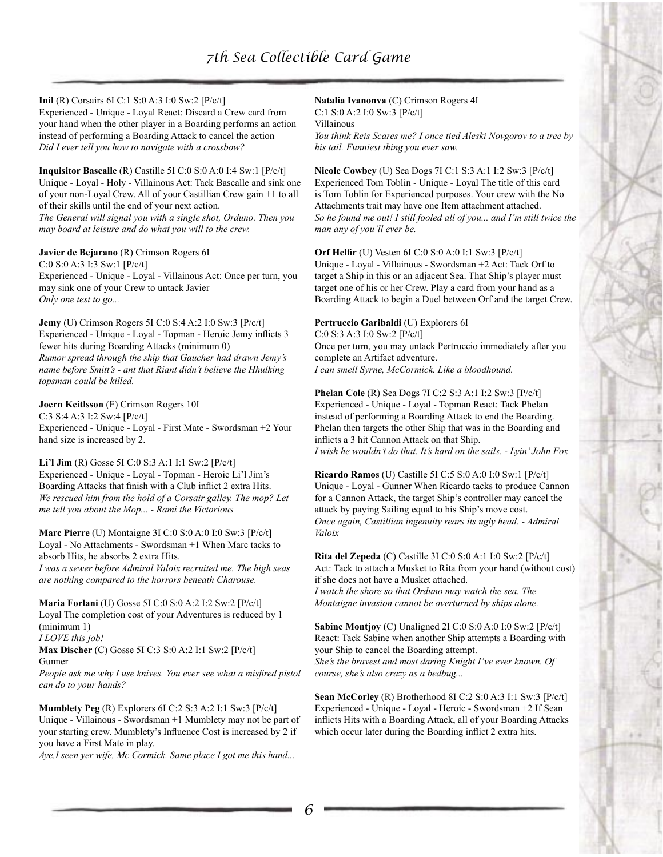# **Inil** (R) Corsairs 6I C:1 S:0 A:3 I:0 Sw:2 [P/c/t]

Experienced - Unique - Loyal React: Discard a Crew card from your hand when the other player in a Boarding performs an action instead of performing a Boarding Attack to cancel the action *Did I ever tell you how to navigate with a crossbow?*

**Inquisitor Bascalle** (R) Castille 5I C:0 S:0 A:0 I:4 Sw:1 [P/c/t] Unique - Loyal - Holy - Villainous Act: Tack Bascalle and sink one of your non-Loyal Crew. All of your Castillian Crew gain +1 to all of their skills until the end of your next action.

*The General will signal you with a single shot, Orduno. Then you may board at leisure and do what you will to the crew.*

**Javier de Bejarano** (R) Crimson Rogers 6I

C:0 S:0 A:3 I:3 Sw:1 [P/c/t] Experienced - Unique - Loyal - Villainous Act: Once per turn, you may sink one of your Crew to untack Javier *Only one test to go...*

**Jemy** (U) Crimson Rogers 5I C:0 S:4 A:2 I:0 Sw:3 [P/c/t] Experienced - Unique - Loyal - Topman - Heroic Jemy inflicts 3 fewer hits during Boarding Attacks (minimum 0) *Rumor spread through the ship that Gaucher had drawn Jemy's name before Smitt's - ant that Riant didn't believe the Hhulking topsman could be killed.*

**Joern Keitlsson** (F) Crimson Rogers 10I

C:3 S:4 A:3 I:2 Sw:4 [P/c/t] Experienced - Unique - Loyal - First Mate - Swordsman +2 Your hand size is increased by 2.

**Li'l Jim** (R) Gosse 5I C:0 S:3 A:1 I:1 Sw:2 [P/c/t] Experienced - Unique - Loyal - Topman - Heroic Li'l Jim's Boarding Attacks that finish with a Club inflict 2 extra Hits. *We rescued him from the hold of a Corsair galley. The mop? Let me tell you about the Mop... - Rami the Victorious*

**Marc Pierre** (U) Montaigne 3I C:0 S:0 A:0 I:0 Sw:3 [P/c/t] Loyal - No Attachments - Swordsman +1 When Marc tacks to absorb Hits, he absorbs 2 extra Hits. *I was a sewer before Admiral Valoix recruited me. The high seas are nothing compared to the horrors beneath Charouse.*

**Maria Forlani** (U) Gosse 5I C:0 S:0 A:2 I:2 Sw:2 [P/c/t] Loyal The completion cost of your Adventures is reduced by 1 (minimum 1) *I LOVE this job!*

**Max Discher** (C) Gosse 5I C:3 S:0 A:2 I:1 Sw:2 [P/c/t] Gunner

*People ask me why I use knives. You ever see what a misfired pistol can do to your hands?*

**Mumblety Peg** (R) Explorers 6I C:2 S:3 A:2 I:1 Sw:3 [P/c/t] Unique - Villainous - Swordsman +1 Mumblety may not be part of your starting crew. Mumblety's Influence Cost is increased by 2 if you have a First Mate in play.

*Aye,I seen yer wife, Mc Cormick. Same place I got me this hand...*

**Natalia Ivanonva** (C) Crimson Rogers 4I C:1 S:0 A:2 I:0 Sw:3 [P/c/t]

Villainous *You think Reis Scares me? I once tied Aleski Novgorov to a tree by his tail. Funniest thing you ever saw.*

**Nicole Cowbey** (U) Sea Dogs 7I C:1 S:3 A:1 I:2 Sw:3 [P/c/t] Experienced Tom Toblin - Unique - Loyal The title of this card is Tom Toblin for Experienced purposes. Your crew with the No Attachments trait may have one Item attachment attached. *So he found me out! I still fooled all of you... and I'm still twice the man any of you'll ever be.*

**Orf Helfir** (U) Vesten 6I C:0 S:0 A:0 I:1 Sw:3 [P/c/t] Unique - Loyal - Villainous - Swordsman +2 Act: Tack Orf to target a Ship in this or an adjacent Sea. That Ship's player must target one of his or her Crew. Play a card from your hand as a Boarding Attack to begin a Duel between Orf and the target Crew.

**Pertruccio Garibaldi** (U) Explorers 6I C:0 S:3 A:3 I:0 Sw:2 [P/c/t] Once per turn, you may untack Pertruccio immediately after you complete an Artifact adventure. *I can smell Syrne, McCormick. Like a bloodhound.*

**Phelan Cole** (R) Sea Dogs 7I C:2 S:3 A:1 I:2 Sw:3 [P/c/t] Experienced - Unique - Loyal - Topman React: Tack Phelan instead of performing a Boarding Attack to end the Boarding. Phelan then targets the other Ship that was in the Boarding and inflicts a 3 hit Cannon Attack on that Ship. *I wish he wouldn't do that. It's hard on the sails. - Lyin' John Fox*

**Ricardo Ramos** (U) Castille 5I C:5 S:0 A:0 I:0 Sw:1 [P/c/t] Unique - Loyal - Gunner When Ricardo tacks to produce Cannon for a Cannon Attack, the target Ship's controller may cancel the attack by paying Sailing equal to his Ship's move cost. *Once again, Castillian ingenuity rears its ugly head. - Admiral Valoix*

**Rita del Zepeda** (C) Castille 3I C:0 S:0 A:1 I:0 Sw:2 [P/c/t] Act: Tack to attach a Musket to Rita from your hand (without cost) if she does not have a Musket attached.

*I watch the shore so that Orduno may watch the sea. The Montaigne invasion cannot be overturned by ships alone.*

**Sabine Montjoy** (C) Unaligned 2I C:0 S:0 A:0 I:0 Sw:2 [P/c/t] React: Tack Sabine when another Ship attempts a Boarding with your Ship to cancel the Boarding attempt. *She's the bravest and most daring Knight I've ever known. Of course, she's also crazy as a bedbug...*

**Sean McCorley** (R) Brotherhood 8I C:2 S:0 A:3 I:1 Sw:3 [P/c/t] Experienced - Unique - Loyal - Heroic - Swordsman +2 If Sean inflicts Hits with a Boarding Attack, all of your Boarding Attacks which occur later during the Boarding inflict 2 extra hits.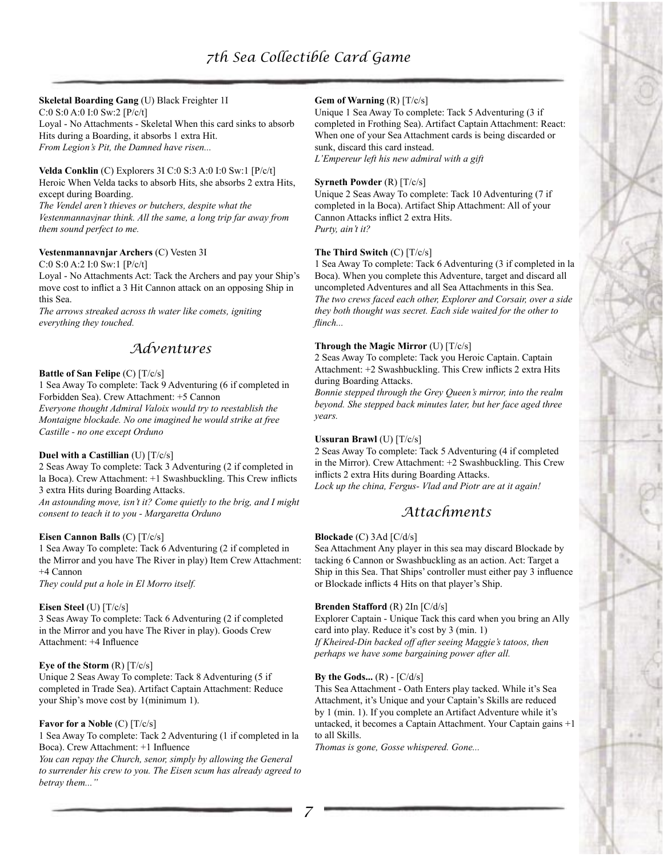# **Skeletal Boarding Gang** (U) Black Freighter 1I

C:0 S:0 A:0 I:0 Sw:2 [P/c/t] Loyal - No Attachments - Skeletal When this card sinks to absorb Hits during a Boarding, it absorbs 1 extra Hit.

*From Legion's Pit, the Damned have risen...*

**Velda Conklin** (C) Explorers 3I C:0 S:3 A:0 I:0 Sw:1 [P/c/t] Heroic When Velda tacks to absorb Hits, she absorbs 2 extra Hits, except during Boarding.

*The Vendel aren't thieves or butchers, despite what the Vestenmannavjnar think. All the same, a long trip far away from them sound perfect to me.*

# **Vestenmannavnjar Archers** (C) Vesten 3I

C:0 S:0 A:2 I:0 Sw:1 [P/c/t]

Loyal - No Attachments Act: Tack the Archers and pay your Ship's move cost to inflict a 3 Hit Cannon attack on an opposing Ship in this Sea.

*The arrows streaked across th water like comets, igniting everything they touched.*

# *Adventures*

# **Battle of San Felipe** (C) [T/c/s]

1 Sea Away To complete: Tack 9 Adventuring (6 if completed in Forbidden Sea). Crew Attachment: +5 Cannon *Everyone thought Admiral Valoix would try to reestablish the Montaigne blockade. No one imagined he would strike at free* 

*Castille - no one except Orduno*

# **Duel with a Castillian** (U) [T/c/s]

2 Seas Away To complete: Tack 3 Adventuring (2 if completed in la Boca). Crew Attachment: +1 Swashbuckling. This Crew inflicts 3 extra Hits during Boarding Attacks.

*An astounding move, isn't it? Come quietly to the brig, and I might consent to teach it to you - Margaretta Orduno*

#### **Eisen Cannon Balls** (C) [T/c/s]

1 Sea Away To complete: Tack 6 Adventuring (2 if completed in the Mirror and you have The River in play) Item Crew Attachment: +4 Cannon *They could put a hole in El Morro itself.*

#### **Eisen Steel** (U) [T/c/s]

3 Seas Away To complete: Tack 6 Adventuring (2 if completed in the Mirror and you have The River in play). Goods Crew Attachment: +4 Influence

# **Eye of the Storm** (R) [T/c/s]

Unique 2 Seas Away To complete: Tack 8 Adventuring (5 if completed in Trade Sea). Artifact Captain Attachment: Reduce your Ship's move cost by 1(minimum 1).

#### **Favor for a Noble** (C) [T/c/s]

1 Sea Away To complete: Tack 2 Adventuring (1 if completed in la Boca). Crew Attachment: +1 Influence

*You can repay the Church, senor, simply by allowing the General to surrender his crew to you. The Eisen scum has already agreed to betray them..."*

# **Gem of Warning** (R) [T/c/s]

Unique 1 Sea Away To complete: Tack 5 Adventuring (3 if completed in Frothing Sea). Artifact Captain Attachment: React: When one of your Sea Attachment cards is being discarded or sunk, discard this card instead.

*L'Empereur left his new admiral with a gift*

#### **Syrneth Powder** (R) [T/c/s]

Unique 2 Seas Away To complete: Tack 10 Adventuring (7 if completed in la Boca). Artifact Ship Attachment: All of your Cannon Attacks inflict 2 extra Hits. *Purty, ain't it?*

#### **The Third Switch** (C) [T/c/s]

1 Sea Away To complete: Tack 6 Adventuring (3 if completed in la Boca). When you complete this Adventure, target and discard all uncompleted Adventures and all Sea Attachments in this Sea. *The two crews faced each other, Explorer and Corsair, over a side they both thought was secret. Each side waited for the other to flinch...*

## **Through the Magic Mirror** (U) [T/c/s]

2 Seas Away To complete: Tack you Heroic Captain. Captain Attachment: +2 Swashbuckling. This Crew inflicts 2 extra Hits during Boarding Attacks.

*Bonnie stepped through the Grey Queen's mirror, into the realm beyond. She stepped back minutes later, but her face aged three years.*

## **Ussuran Brawl** (U) [T/c/s]

2 Seas Away To complete: Tack 5 Adventuring (4 if completed in the Mirror). Crew Attachment: +2 Swashbuckling. This Crew inflicts 2 extra Hits during Boarding Attacks. *Lock up the china, Fergus- Vlad and Piotr are at it again!*

# *Attachments*

# **Blockade** (C) 3Ad [C/d/s]

Sea Attachment Any player in this sea may discard Blockade by tacking 6 Cannon or Swashbuckling as an action. Act: Target a Ship in this Sea. That Ships' controller must either pay 3 influence or Blockade inflicts 4 Hits on that player's Ship.

#### **Brenden Stafford** (R) 2In [C/d/s]

Explorer Captain - Unique Tack this card when you bring an Ally card into play. Reduce it's cost by 3 (min. 1) *If Kheired-Din backed off after seeing Maggie's tatoos, then perhaps we have some bargaining power after all.*

#### By the Gods...  $(R) - [C/d/s]$

This Sea Attachment - Oath Enters play tacked. While it's Sea Attachment, it's Unique and your Captain's Skills are reduced by 1 (min. 1). If you complete an Artifact Adventure while it's untacked, it becomes a Captain Attachment. Your Captain gains +1 to all Skills.

*Thomas is gone, Gosse whispered. Gone...*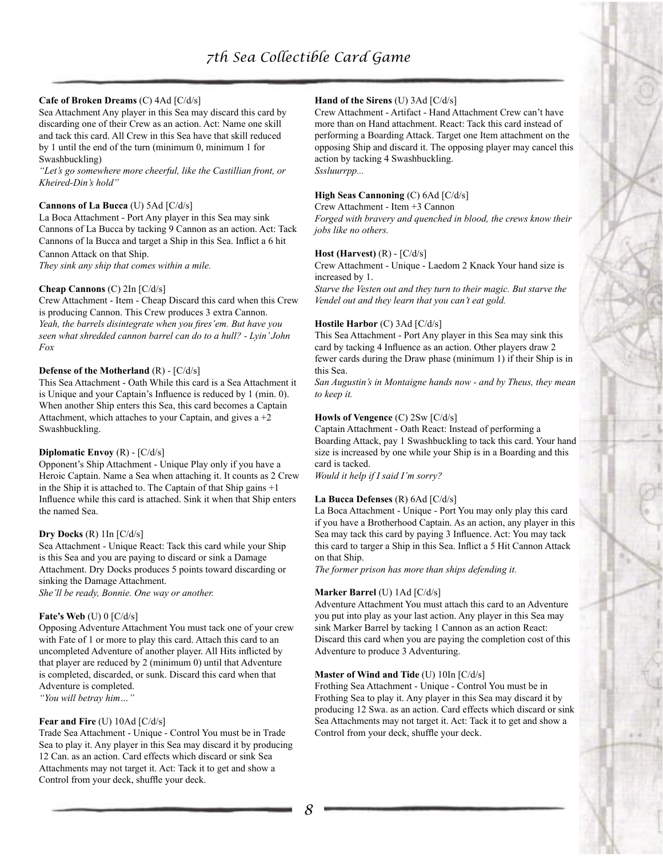# **Cafe of Broken Dreams** (C) 4Ad [C/d/s]

Sea Attachment Any player in this Sea may discard this card by discarding one of their Crew as an action. Act: Name one skill and tack this card. All Crew in this Sea have that skill reduced by 1 until the end of the turn (minimum 0, minimum 1 for Swashbuckling)

*"Let's go somewhere more cheerful, like the Castillian front, or Kheired-Din's hold"*

### **Cannons of La Bucca** (U) 5Ad [C/d/s]

La Boca Attachment - Port Any player in this Sea may sink Cannons of La Bucca by tacking 9 Cannon as an action. Act: Tack Cannons of la Bucca and target a Ship in this Sea. Inflict a 6 hit Cannon Attack on that Ship.

*They sink any ship that comes within a mile.*

#### **Cheap Cannons** (C) 2In [C/d/s]

Crew Attachment - Item - Cheap Discard this card when this Crew is producing Cannon. This Crew produces 3 extra Cannon. *Yeah, the barrels disintegrate when you fires'em. But have you seen what shredded cannon barrel can do to a hull? - Lyin' John Fox*

#### **Defense of the Motherland** (R) - [C/d/s]

This Sea Attachment - Oath While this card is a Sea Attachment it is Unique and your Captain's Influence is reduced by 1 (min. 0). When another Ship enters this Sea, this card becomes a Captain Attachment, which attaches to your Captain, and gives  $a + 2$ Swashbuckling.

#### **Diplomatic Envoy** (R) - [C/d/s]

Opponent's Ship Attachment - Unique Play only if you have a Heroic Captain. Name a Sea when attaching it. It counts as 2 Crew in the Ship it is attached to. The Captain of that Ship gains +1 Influence while this card is attached. Sink it when that Ship enters the named Sea.

#### **Dry Docks** (R) 1In [C/d/s]

Sea Attachment - Unique React: Tack this card while your Ship is this Sea and you are paying to discard or sink a Damage Attachment. Dry Docks produces 5 points toward discarding or sinking the Damage Attachment.

*She'll be ready, Bonnie. One way or another.*

#### **Fate's Web** (U) 0 [C/d/s]

Opposing Adventure Attachment You must tack one of your crew with Fate of 1 or more to play this card. Attach this card to an uncompleted Adventure of another player. All Hits inflicted by that player are reduced by 2 (minimum 0) until that Adventure is completed, discarded, or sunk. Discard this card when that Adventure is completed. *"You will betray him…"*

#### **Fear and Fire** (U) 10Ad [C/d/s]

Trade Sea Attachment - Unique - Control You must be in Trade Sea to play it. Any player in this Sea may discard it by producing 12 Can. as an action. Card effects which discard or sink Sea Attachments may not target it. Act: Tack it to get and show a Control from your deck, shuffle your deck.

# **Hand of the Sirens** (U) 3Ad [C/d/s]

Crew Attachment - Artifact - Hand Attachment Crew can't have more than on Hand attachment. React: Tack this card instead of performing a Boarding Attack. Target one Item attachment on the opposing Ship and discard it. The opposing player may cancel this action by tacking 4 Swashbuckling. *Sssluurrpp...*

### **High Seas Cannoning** (C) 6Ad [C/d/s]

Crew Attachment - Item +3 Cannon

*Forged with bravery and quenched in blood, the crews know their jobs like no others.*

#### **Host (Harvest)** (R) - [C/d/s]

Crew Attachment - Unique - Laedom 2 Knack Your hand size is increased by 1.

*Starve the Vesten out and they turn to their magic. But starve the Vendel out and they learn that you can't eat gold.*

#### **Hostile Harbor** (C) 3Ad [C/d/s]

This Sea Attachment - Port Any player in this Sea may sink this card by tacking 4 Influence as an action. Other players draw 2 fewer cards during the Draw phase (minimum 1) if their Ship is in this Sea.

*San Augustin's in Montaigne hands now - and by Theus, they mean to keep it.*

# **Howls of Vengence** (C) 2Sw [C/d/s]

Captain Attachment - Oath React: Instead of performing a Boarding Attack, pay 1 Swashbuckling to tack this card. Your hand size is increased by one while your Ship is in a Boarding and this card is tacked.

*Would it help if I said I'm sorry?*

#### **La Bucca Defenses** (R) 6Ad [C/d/s]

La Boca Attachment - Unique - Port You may only play this card if you have a Brotherhood Captain. As an action, any player in this Sea may tack this card by paying 3 Influence. Act: You may tack this card to targer a Ship in this Sea. Inflict a 5 Hit Cannon Attack on that Ship.

*The former prison has more than ships defending it.*

#### **Marker Barrel** (U) 1Ad [C/d/s]

Adventure Attachment You must attach this card to an Adventure you put into play as your last action. Any player in this Sea may sink Marker Barrel by tacking 1 Cannon as an action React: Discard this card when you are paying the completion cost of this Adventure to produce 3 Adventuring.

#### **Master of Wind and Tide** (U) 10In [C/d/s]

Frothing Sea Attachment - Unique - Control You must be in Frothing Sea to play it. Any player in this Sea may discard it by producing 12 Swa. as an action. Card effects which discard or sink Sea Attachments may not target it. Act: Tack it to get and show a Control from your deck, shuffle your deck.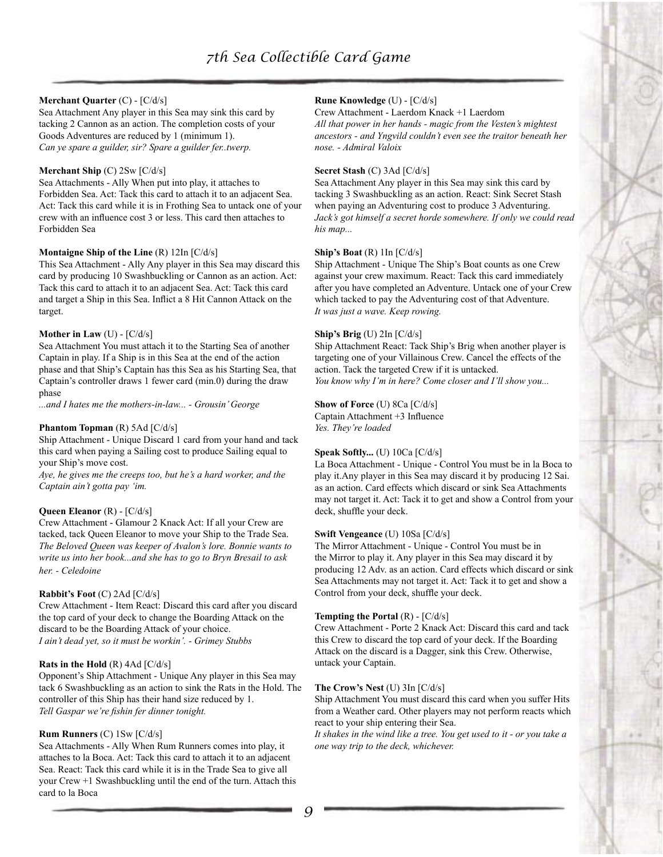# **Merchant Quarter** (C) - [C/d/s]

Sea Attachment Any player in this Sea may sink this card by tacking 2 Cannon as an action. The completion costs of your Goods Adventures are reduced by 1 (minimum 1). *Can ye spare a guilder, sir? Spare a guilder fer..twerp.*

# **Merchant Ship** (C) 2Sw [C/d/s]

Sea Attachments - Ally When put into play, it attaches to Forbidden Sea. Act: Tack this card to attach it to an adjacent Sea. Act: Tack this card while it is in Frothing Sea to untack one of your crew with an influence cost 3 or less. This card then attaches to Forbidden Sea

# **Montaigne Ship of the Line** (R) 12In [C/d/s]

This Sea Attachment - Ally Any player in this Sea may discard this card by producing 10 Swashbuckling or Cannon as an action. Act: Tack this card to attach it to an adjacent Sea. Act: Tack this card and target a Ship in this Sea. Inflict a 8 Hit Cannon Attack on the target.

## **Mother in Law** (U) - [C/d/s]

Sea Attachment You must attach it to the Starting Sea of another Captain in play. If a Ship is in this Sea at the end of the action phase and that Ship's Captain has this Sea as his Starting Sea, that Captain's controller draws 1 fewer card (min.0) during the draw phase

*...and I hates me the mothers-in-law... - Grousin' George*

### **Phantom Topman** (R) 5Ad [C/d/s]

Ship Attachment - Unique Discard 1 card from your hand and tack this card when paying a Sailing cost to produce Sailing equal to your Ship's move cost.

*Aye, he gives me the creeps too, but he's a hard worker, and the Captain ain't gotta pay 'im.*

# **Queen Eleanor** (R) - [C/d/s]

Crew Attachment - Glamour 2 Knack Act: If all your Crew are tacked, tack Queen Eleanor to move your Ship to the Trade Sea. *The Beloved Queen was keeper of Avalon's lore. Bonnie wants to write us into her book...and she has to go to Bryn Bresail to ask her. - Celedoine*

# **Rabbit's Foot** (C) 2Ad [C/d/s]

Crew Attachment - Item React: Discard this card after you discard the top card of your deck to change the Boarding Attack on the discard to be the Boarding Attack of your choice. *I ain't dead yet, so it must be workin'. - Grimey Stubbs*

# **Rats in the Hold** (R) 4Ad [C/d/s]

Opponent's Ship Attachment - Unique Any player in this Sea may tack 6 Swashbuckling as an action to sink the Rats in the Hold. The controller of this Ship has their hand size reduced by 1. *Tell Gaspar we're fishin fer dinner tonight.*

# **Rum Runners** (C) 1Sw [C/d/s]

Sea Attachments - Ally When Rum Runners comes into play, it attaches to la Boca. Act: Tack this card to attach it to an adjacent Sea. React: Tack this card while it is in the Trade Sea to give all your Crew +1 Swashbuckling until the end of the turn. Attach this card to la Boca

# **Rune Knowledge** (U) - [C/d/s]

Crew Attachment - Laerdom Knack +1 Laerdom *All that power in her hands - magic from the Vesten's mightest ancestors - and Yngvild couldn't even see the traitor beneath her nose. - Admiral Valoix*

#### **Secret Stash** (C) 3Ad [C/d/s]

Sea Attachment Any player in this Sea may sink this card by tacking 3 Swashbuckling as an action. React: Sink Secret Stash when paying an Adventuring cost to produce 3 Adventuring. *Jack's got himself a secret horde somewhere. If only we could read his map...*

### **Ship's Boat** (R) 1In [C/d/s]

Ship Attachment - Unique The Ship's Boat counts as one Crew against your crew maximum. React: Tack this card immediately after you have completed an Adventure. Untack one of your Crew which tacked to pay the Adventuring cost of that Adventure. *It was just a wave. Keep rowing.*

### **Ship's Brig** (U) 2In [C/d/s]

Ship Attachment React: Tack Ship's Brig when another player is targeting one of your Villainous Crew. Cancel the effects of the action. Tack the targeted Crew if it is untacked. *You know why I'm in here? Come closer and I'll show you...*

#### **Show of Force** (U) 8Ca [C/d/s]

Captain Attachment +3 Influence *Yes. They're loaded*

# **Speak Softly...** (U) 10Ca [C/d/s]

La Boca Attachment - Unique - Control You must be in la Boca to play it.Any player in this Sea may discard it by producing 12 Sai. as an action. Card effects which discard or sink Sea Attachments may not target it. Act: Tack it to get and show a Control from your deck, shuffle your deck.

#### **Swift Vengeance** (U) 10Sa [C/d/s]

The Mirror Attachment - Unique - Control You must be in the Mirror to play it. Any player in this Sea may discard it by producing 12 Adv. as an action. Card effects which discard or sink Sea Attachments may not target it. Act: Tack it to get and show a Control from your deck, shuffle your deck.

#### **Tempting the Portal** (R) - [C/d/s]

Crew Attachment - Porte 2 Knack Act: Discard this card and tack this Crew to discard the top card of your deck. If the Boarding Attack on the discard is a Dagger, sink this Crew. Otherwise, untack your Captain.

# **The Crow's Nest** (U) 3In [C/d/s]

Ship Attachment You must discard this card when you suffer Hits from a Weather card. Other players may not perform reacts which react to your ship entering their Sea.

*It shakes in the wind like a tree. You get used to it - or you take a one way trip to the deck, whichever.*